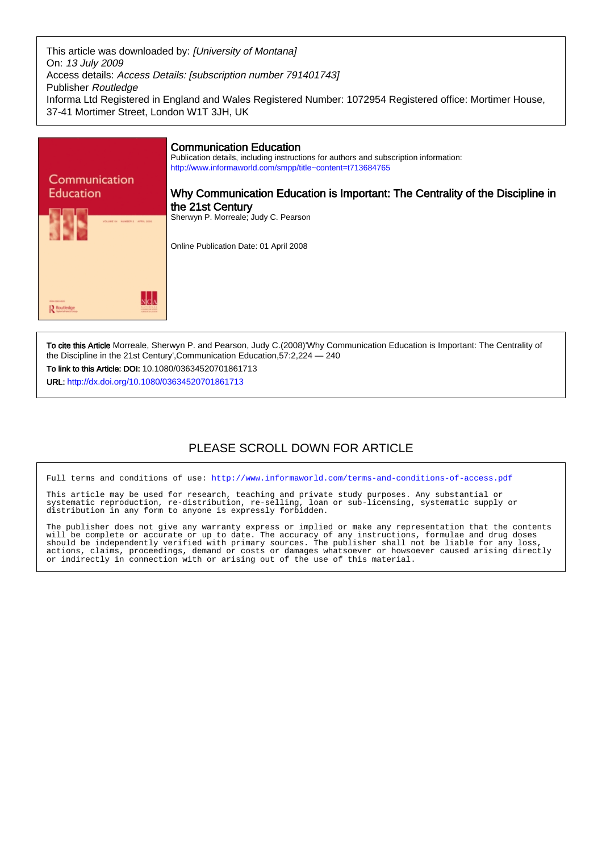This article was downloaded by: [University of Montana] On: 13 July 2009 Access details: Access Details: [subscription number 791401743] Publisher Routledge Informa Ltd Registered in England and Wales Registered Number: 1072954 Registered office: Mortimer House, 37-41 Mortimer Street, London W1T 3JH, UK



To cite this Article Morreale, Sherwyn P. and Pearson, Judy C.(2008)'Why Communication Education is Important: The Centrality of the Discipline in the 21st Century',Communication Education,57:2,224 — 240

To link to this Article: DOI: 10.1080/03634520701861713 URL: <http://dx.doi.org/10.1080/03634520701861713>

# PLEASE SCROLL DOWN FOR ARTICLE

Full terms and conditions of use:<http://www.informaworld.com/terms-and-conditions-of-access.pdf>

This article may be used for research, teaching and private study purposes. Any substantial or systematic reproduction, re-distribution, re-selling, loan or sub-licensing, systematic supply or distribution in any form to anyone is expressly forbidden.

The publisher does not give any warranty express or implied or make any representation that the contents will be complete or accurate or up to date. The accuracy of any instructions, formulae and drug doses should be independently verified with primary sources. The publisher shall not be liable for any loss, actions, claims, proceedings, demand or costs or damages whatsoever or howsoever caused arising directly or indirectly in connection with or arising out of the use of this material.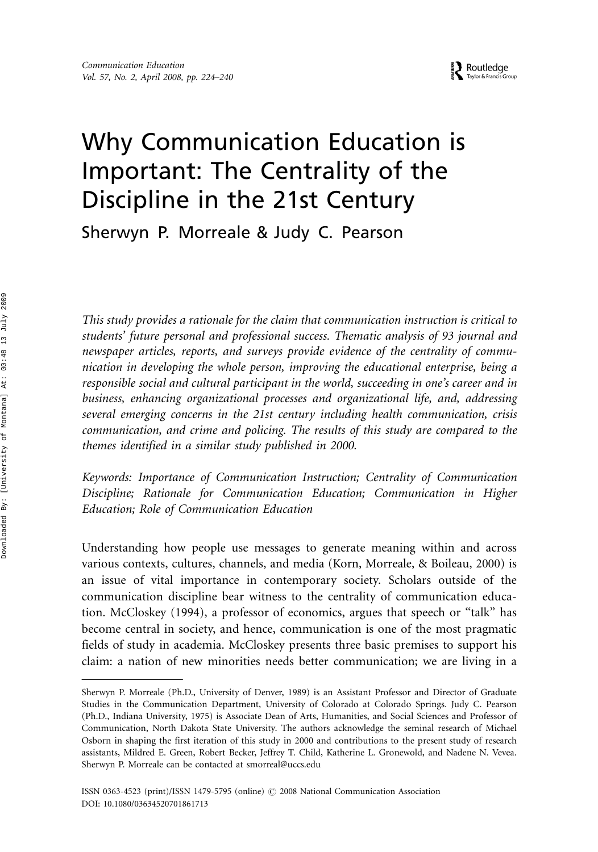# Why Communication Education is Important: The Centrality of the Discipline in the 21st Century

Sherwyn P. Morreale & Judy C. Pearson

This study provides a rationale for the claim that communication instruction is critical to students' future personal and professional success. Thematic analysis of 93 journal and newspaper articles, reports, and surveys provide evidence of the centrality of communication in developing the whole person, improving the educational enterprise, being a responsible social and cultural participant in the world, succeeding in one's career and in business, enhancing organizational processes and organizational life, and, addressing several emerging concerns in the 21st century including health communication, crisis communication, and crime and policing. The results of this study are compared to the themes identified in a similar study published in 2000.

Keywords: Importance of Communication Instruction; Centrality of Communication Discipline; Rationale for Communication Education; Communication in Higher Education; Role of Communication Education

Understanding how people use messages to generate meaning within and across various contexts, cultures, channels, and media (Korn, Morreale, & Boileau, 2000) is an issue of vital importance in contemporary society. Scholars outside of the communication discipline bear witness to the centrality of communication education. McCloskey (1994), a professor of economics, argues that speech or ''talk'' has become central in society, and hence, communication is one of the most pragmatic fields of study in academia. McCloskey presents three basic premises to support his claim: a nation of new minorities needs better communication; we are living in a

Sherwyn P. Morreale (Ph.D., University of Denver, 1989) is an Assistant Professor and Director of Graduate Studies in the Communication Department, University of Colorado at Colorado Springs. Judy C. Pearson (Ph.D., Indiana University, 1975) is Associate Dean of Arts, Humanities, and Social Sciences and Professor of Communication, North Dakota State University. The authors acknowledge the seminal research of Michael Osborn in shaping the first iteration of this study in 2000 and contributions to the present study of research assistants, Mildred E. Green, Robert Becker, Jeffrey T. Child, Katherine L. Gronewold, and Nadene N. Vevea. Sherwyn P. Morreale can be contacted at smorreal@uccs.edu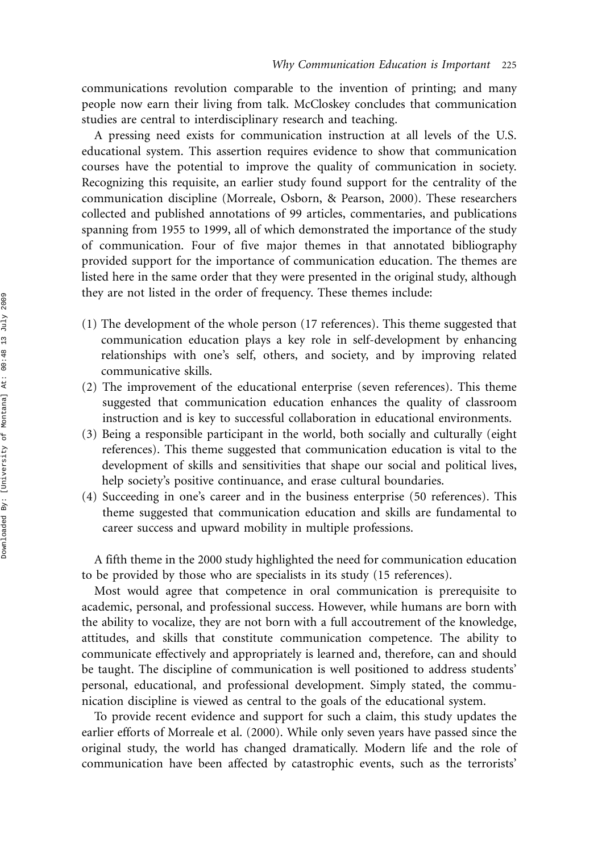communications revolution comparable to the invention of printing; and many people now earn their living from talk. McCloskey concludes that communication studies are central to interdisciplinary research and teaching.

A pressing need exists for communication instruction at all levels of the U.S. educational system. This assertion requires evidence to show that communication courses have the potential to improve the quality of communication in society. Recognizing this requisite, an earlier study found support for the centrality of the communication discipline (Morreale, Osborn, & Pearson, 2000). These researchers collected and published annotations of 99 articles, commentaries, and publications spanning from 1955 to 1999, all of which demonstrated the importance of the study of communication. Four of five major themes in that annotated bibliography provided support for the importance of communication education. The themes are listed here in the same order that they were presented in the original study, although they are not listed in the order of frequency. These themes include:

- (1) The development of the whole person (17 references). This theme suggested that communication education plays a key role in self-development by enhancing relationships with one's self, others, and society, and by improving related communicative skills.
- (2) The improvement of the educational enterprise (seven references). This theme suggested that communication education enhances the quality of classroom instruction and is key to successful collaboration in educational environments.
- (3) Being a responsible participant in the world, both socially and culturally (eight references). This theme suggested that communication education is vital to the development of skills and sensitivities that shape our social and political lives, help society's positive continuance, and erase cultural boundaries.
- (4) Succeeding in one's career and in the business enterprise (50 references). This theme suggested that communication education and skills are fundamental to career success and upward mobility in multiple professions.

A fifth theme in the 2000 study highlighted the need for communication education to be provided by those who are specialists in its study (15 references).

Most would agree that competence in oral communication is prerequisite to academic, personal, and professional success. However, while humans are born with the ability to vocalize, they are not born with a full accoutrement of the knowledge, attitudes, and skills that constitute communication competence. The ability to communicate effectively and appropriately is learned and, therefore, can and should be taught. The discipline of communication is well positioned to address students' personal, educational, and professional development. Simply stated, the communication discipline is viewed as central to the goals of the educational system.

To provide recent evidence and support for such a claim, this study updates the earlier efforts of Morreale et al. (2000). While only seven years have passed since the original study, the world has changed dramatically. Modern life and the role of communication have been affected by catastrophic events, such as the terrorists'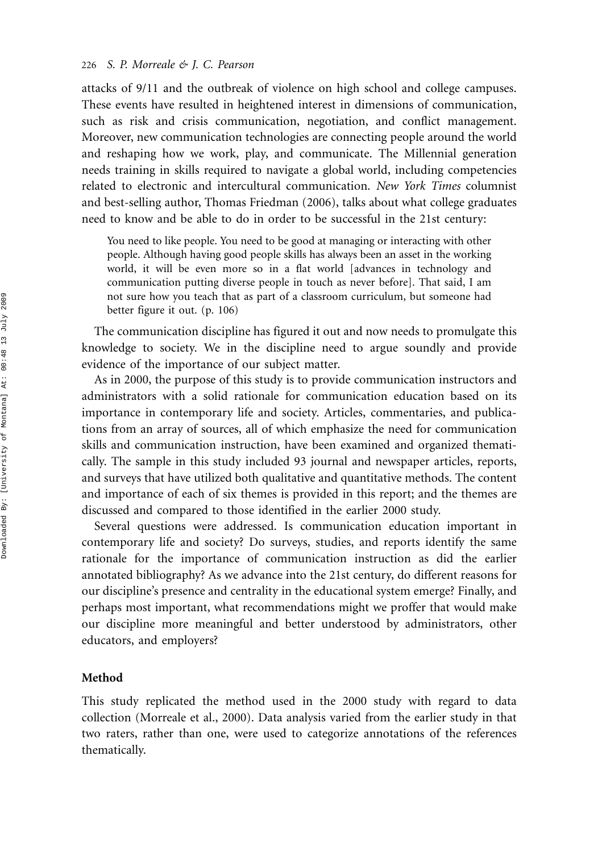attacks of 9/11 and the outbreak of violence on high school and college campuses. These events have resulted in heightened interest in dimensions of communication, such as risk and crisis communication, negotiation, and conflict management. Moreover, new communication technologies are connecting people around the world and reshaping how we work, play, and communicate. The Millennial generation needs training in skills required to navigate a global world, including competencies related to electronic and intercultural communication. New York Times columnist and best-selling author, Thomas Friedman (2006), talks about what college graduates need to know and be able to do in order to be successful in the 21st century:

You need to like people. You need to be good at managing or interacting with other people. Although having good people skills has always been an asset in the working world, it will be even more so in a flat world [advances in technology and communication putting diverse people in touch as never before]. That said, I am not sure how you teach that as part of a classroom curriculum, but someone had better figure it out. (p. 106)

The communication discipline has figured it out and now needs to promulgate this knowledge to society. We in the discipline need to argue soundly and provide evidence of the importance of our subject matter.

As in 2000, the purpose of this study is to provide communication instructors and administrators with a solid rationale for communication education based on its importance in contemporary life and society. Articles, commentaries, and publications from an array of sources, all of which emphasize the need for communication skills and communication instruction, have been examined and organized thematically. The sample in this study included 93 journal and newspaper articles, reports, and surveys that have utilized both qualitative and quantitative methods. The content and importance of each of six themes is provided in this report; and the themes are discussed and compared to those identified in the earlier 2000 study.

Several questions were addressed. Is communication education important in contemporary life and society? Do surveys, studies, and reports identify the same rationale for the importance of communication instruction as did the earlier annotated bibliography? As we advance into the 21st century, do different reasons for our discipline's presence and centrality in the educational system emerge? Finally, and perhaps most important, what recommendations might we proffer that would make our discipline more meaningful and better understood by administrators, other educators, and employers?

#### Method

This study replicated the method used in the 2000 study with regard to data collection (Morreale et al., 2000). Data analysis varied from the earlier study in that two raters, rather than one, were used to categorize annotations of the references thematically.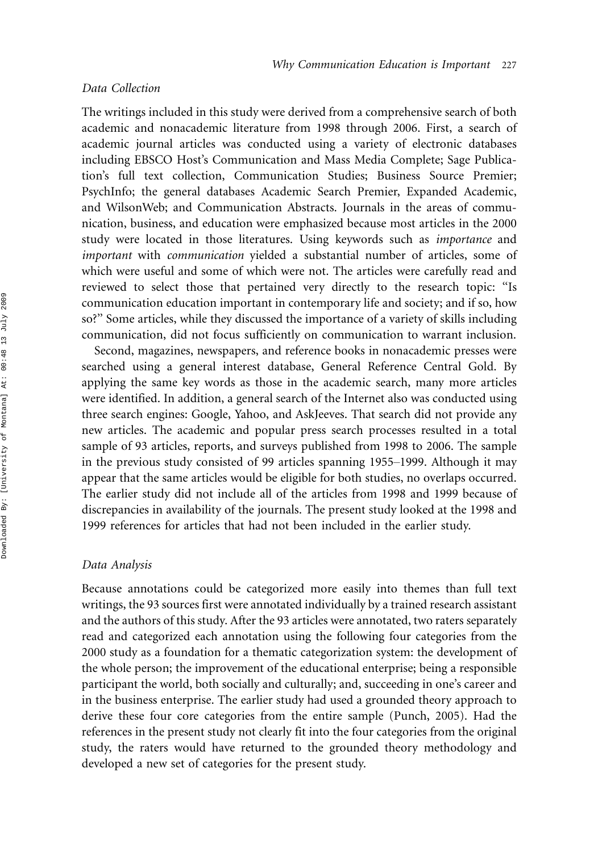## Data Collection

The writings included in this study were derived from a comprehensive search of both academic and nonacademic literature from 1998 through 2006. First, a search of academic journal articles was conducted using a variety of electronic databases including EBSCO Host's Communication and Mass Media Complete; Sage Publication's full text collection, Communication Studies; Business Source Premier; PsychInfo; the general databases Academic Search Premier, Expanded Academic, and WilsonWeb; and Communication Abstracts. Journals in the areas of communication, business, and education were emphasized because most articles in the 2000 study were located in those literatures. Using keywords such as importance and important with communication yielded a substantial number of articles, some of which were useful and some of which were not. The articles were carefully read and reviewed to select those that pertained very directly to the research topic: ''Is communication education important in contemporary life and society; and if so, how so?'' Some articles, while they discussed the importance of a variety of skills including communication, did not focus sufficiently on communication to warrant inclusion.

Second, magazines, newspapers, and reference books in nonacademic presses were searched using a general interest database, General Reference Central Gold. By applying the same key words as those in the academic search, many more articles were identified. In addition, a general search of the Internet also was conducted using three search engines: Google, Yahoo, and AskJeeves. That search did not provide any new articles. The academic and popular press search processes resulted in a total sample of 93 articles, reports, and surveys published from 1998 to 2006. The sample in the previous study consisted of 99 articles spanning 1955–1999. Although it may appear that the same articles would be eligible for both studies, no overlaps occurred. The earlier study did not include all of the articles from 1998 and 1999 because of discrepancies in availability of the journals. The present study looked at the 1998 and 1999 references for articles that had not been included in the earlier study.

#### Data Analysis

Because annotations could be categorized more easily into themes than full text writings, the 93 sources first were annotated individually by a trained research assistant and the authors of this study. After the 93 articles were annotated, two raters separately read and categorized each annotation using the following four categories from the 2000 study as a foundation for a thematic categorization system: the development of the whole person; the improvement of the educational enterprise; being a responsible participant the world, both socially and culturally; and, succeeding in one's career and in the business enterprise. The earlier study had used a grounded theory approach to derive these four core categories from the entire sample (Punch, 2005). Had the references in the present study not clearly fit into the four categories from the original study, the raters would have returned to the grounded theory methodology and developed a new set of categories for the present study.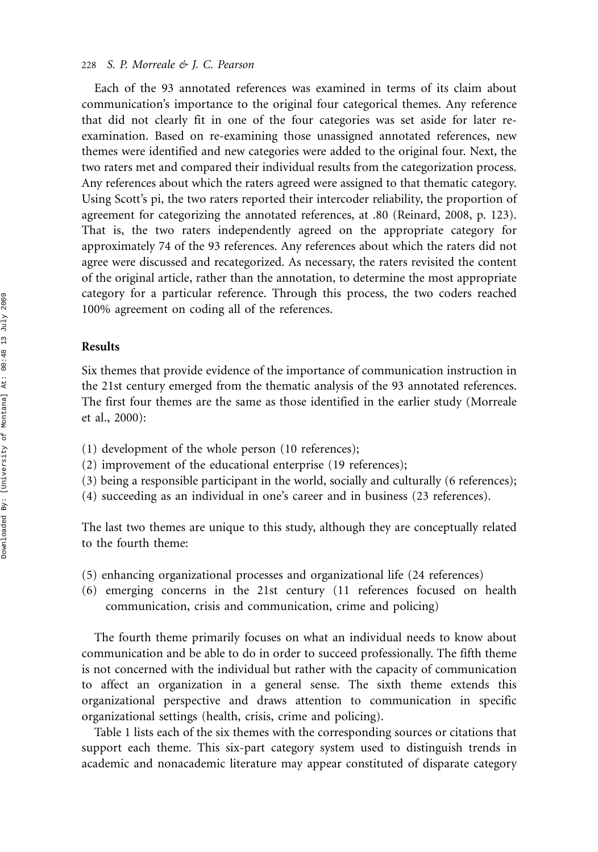#### 228 S. P. Morreale & J. C. Pearson

Each of the 93 annotated references was examined in terms of its claim about communication's importance to the original four categorical themes. Any reference that did not clearly fit in one of the four categories was set aside for later reexamination. Based on re-examining those unassigned annotated references, new themes were identified and new categories were added to the original four. Next, the two raters met and compared their individual results from the categorization process. Any references about which the raters agreed were assigned to that thematic category. Using Scott's pi, the two raters reported their intercoder reliability, the proportion of agreement for categorizing the annotated references, at .80 (Reinard, 2008, p. 123). That is, the two raters independently agreed on the appropriate category for approximately 74 of the 93 references. Any references about which the raters did not agree were discussed and recategorized. As necessary, the raters revisited the content of the original article, rather than the annotation, to determine the most appropriate category for a particular reference. Through this process, the two coders reached 100% agreement on coding all of the references.

# Results

Six themes that provide evidence of the importance of communication instruction in the 21st century emerged from the thematic analysis of the 93 annotated references. The first four themes are the same as those identified in the earlier study (Morreale et al., 2000):

- (1) development of the whole person (10 references);
- (2) improvement of the educational enterprise (19 references);
- (3) being a responsible participant in the world, socially and culturally (6 references);
- (4) succeeding as an individual in one's career and in business (23 references).

The last two themes are unique to this study, although they are conceptually related to the fourth theme:

- (5) enhancing organizational processes and organizational life (24 references)
- (6) emerging concerns in the 21st century (11 references focused on health communication, crisis and communication, crime and policing)

The fourth theme primarily focuses on what an individual needs to know about communication and be able to do in order to succeed professionally. The fifth theme is not concerned with the individual but rather with the capacity of communication to affect an organization in a general sense. The sixth theme extends this organizational perspective and draws attention to communication in specific organizational settings (health, crisis, crime and policing).

Table 1 lists each of the six themes with the corresponding sources or citations that support each theme. This six-part category system used to distinguish trends in academic and nonacademic literature may appear constituted of disparate category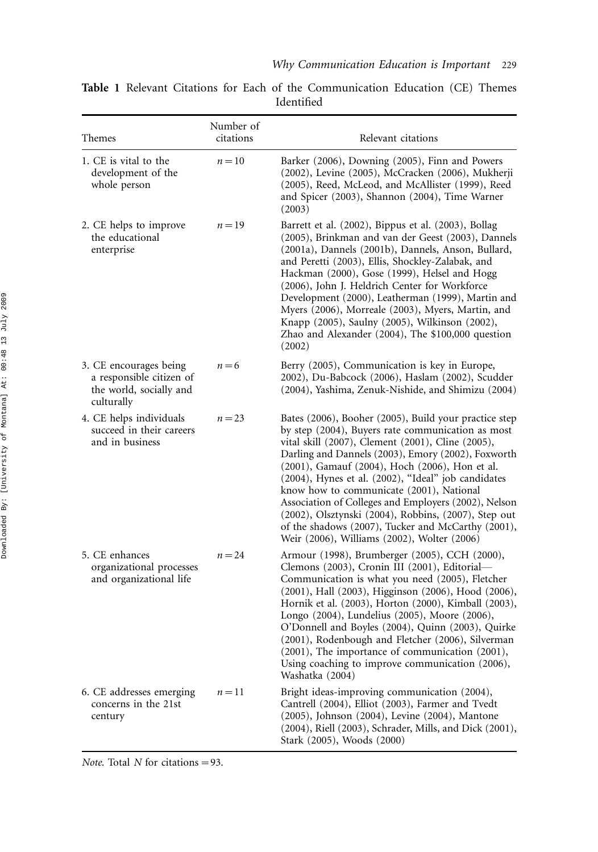| Themes                                                                                      | Number of<br>citations | Relevant citations                                                                                                                                                                                                                                                                                                                                                                                                                                                                                                                                                                              |
|---------------------------------------------------------------------------------------------|------------------------|-------------------------------------------------------------------------------------------------------------------------------------------------------------------------------------------------------------------------------------------------------------------------------------------------------------------------------------------------------------------------------------------------------------------------------------------------------------------------------------------------------------------------------------------------------------------------------------------------|
| 1. CE is vital to the<br>development of the<br>whole person                                 | $n = 10$               | Barker (2006), Downing (2005), Finn and Powers<br>(2002), Levine (2005), McCracken (2006), Mukherji<br>(2005), Reed, McLeod, and McAllister (1999), Reed<br>and Spicer (2003), Shannon (2004), Time Warner<br>(2003)                                                                                                                                                                                                                                                                                                                                                                            |
| 2. CE helps to improve<br>the educational<br>enterprise                                     | $n = 19$               | Barrett et al. (2002), Bippus et al. (2003), Bollag<br>(2005), Brinkman and van der Geest (2003), Dannels<br>(2001a), Dannels (2001b), Dannels, Anson, Bullard,<br>and Peretti (2003), Ellis, Shockley-Zalabak, and<br>Hackman (2000), Gose (1999), Helsel and Hogg<br>(2006), John J. Heldrich Center for Workforce<br>Development (2000), Leatherman (1999), Martin and<br>Myers (2006), Morreale (2003), Myers, Martin, and<br>Knapp (2005), Saulny (2005), Wilkinson (2002),<br>Zhao and Alexander (2004), The \$100,000 question<br>(2002)                                                 |
| 3. CE encourages being<br>a responsible citizen of<br>the world, socially and<br>culturally | $n = 6$                | Berry (2005), Communication is key in Europe,<br>2002), Du-Babcock (2006), Haslam (2002), Scudder<br>(2004), Yashima, Zenuk-Nishide, and Shimizu (2004)                                                                                                                                                                                                                                                                                                                                                                                                                                         |
| 4. CE helps individuals<br>succeed in their careers<br>and in business                      | $n = 23$               | Bates (2006), Booher (2005), Build your practice step<br>by step (2004), Buyers rate communication as most<br>vital skill (2007), Clement (2001), Cline (2005),<br>Darling and Dannels (2003), Emory (2002), Foxworth<br>(2001), Gamauf (2004), Hoch (2006), Hon et al.<br>(2004), Hynes et al. (2002), "Ideal" job candidates<br>know how to communicate (2001), National<br>Association of Colleges and Employers (2002), Nelson<br>(2002), Olsztynski (2004), Robbins, (2007), Step out<br>of the shadows (2007), Tucker and McCarthy (2001),<br>Weir (2006), Williams (2002), Wolter (2006) |
| 5. CE enhances<br>organizational processes<br>and organizational life                       | $n = 24$               | Armour (1998), Brumberger (2005), CCH (2000),<br>Clemons (2003), Cronin III (2001), Editorial-<br>Communication is what you need (2005), Fletcher<br>(2001), Hall (2003), Higginson (2006), Hood (2006),<br>Hornik et al. (2003), Horton (2000), Kimball (2003),<br>Longo (2004), Lundelius (2005), Moore (2006),<br>O'Donnell and Boyles (2004), Quinn (2003), Quirke<br>(2001), Rodenbough and Fletcher (2006), Silverman<br>(2001), The importance of communication (2001),<br>Using coaching to improve communication (2006),<br>Washatka (2004)                                            |
| 6. CE addresses emerging<br>concerns in the 21st<br>century                                 | $n = 11$               | Bright ideas-improving communication (2004),<br>Cantrell (2004), Elliot (2003), Farmer and Tvedt<br>(2005), Johnson (2004), Levine (2004), Mantone<br>(2004), Riell (2003), Schrader, Mills, and Dick (2001),<br>Stark (2005), Woods (2000)                                                                                                                                                                                                                                                                                                                                                     |

Table 1 Relevant Citations for Each of the Communication Education (CE) Themes Identified

*Note.* Total  $N$  for citations = 93.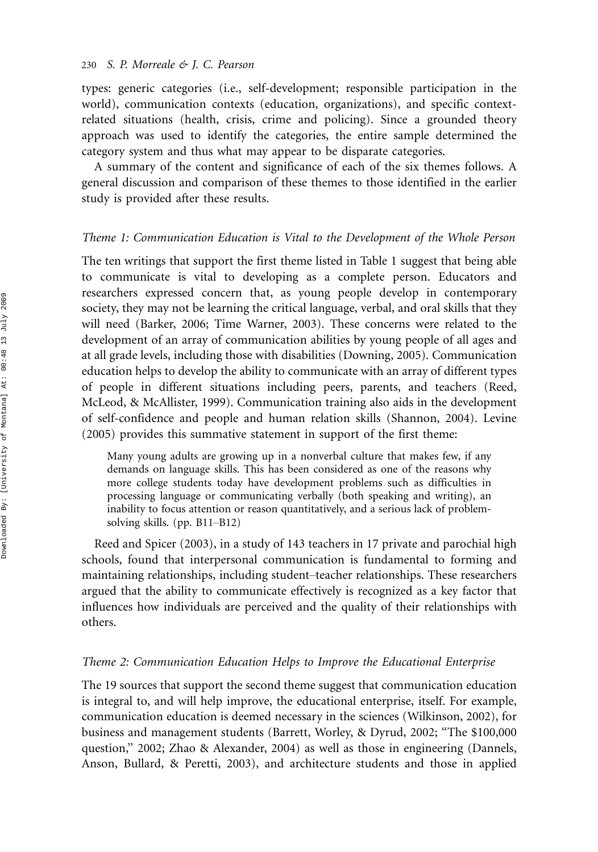types: generic categories (i.e., self-development; responsible participation in the world), communication contexts (education, organizations), and specific contextrelated situations (health, crisis, crime and policing). Since a grounded theory approach was used to identify the categories, the entire sample determined the category system and thus what may appear to be disparate categories.

A summary of the content and significance of each of the six themes follows. A general discussion and comparison of these themes to those identified in the earlier study is provided after these results.

#### Theme 1: Communication Education is Vital to the Development of the Whole Person

The ten writings that support the first theme listed in Table 1 suggest that being able to communicate is vital to developing as a complete person. Educators and researchers expressed concern that, as young people develop in contemporary society, they may not be learning the critical language, verbal, and oral skills that they will need (Barker, 2006; Time Warner, 2003). These concerns were related to the development of an array of communication abilities by young people of all ages and at all grade levels, including those with disabilities (Downing, 2005). Communication education helps to develop the ability to communicate with an array of different types of people in different situations including peers, parents, and teachers (Reed, McLeod, & McAllister, 1999). Communication training also aids in the development of self-confidence and people and human relation skills (Shannon, 2004). Levine (2005) provides this summative statement in support of the first theme:

Many young adults are growing up in a nonverbal culture that makes few, if any demands on language skills. This has been considered as one of the reasons why more college students today have development problems such as difficulties in processing language or communicating verbally (both speaking and writing), an inability to focus attention or reason quantitatively, and a serious lack of problemsolving skills. (pp.  $B11-B12$ )

Reed and Spicer (2003), in a study of 143 teachers in 17 private and parochial high schools, found that interpersonal communication is fundamental to forming and maintaining relationships, including student-teacher relationships. These researchers argued that the ability to communicate effectively is recognized as a key factor that influences how individuals are perceived and the quality of their relationships with others.

# Theme 2: Communication Education Helps to Improve the Educational Enterprise

The 19 sources that support the second theme suggest that communication education is integral to, and will help improve, the educational enterprise, itself. For example, communication education is deemed necessary in the sciences (Wilkinson, 2002), for business and management students (Barrett, Worley, & Dyrud, 2002; ''The \$100,000 question,'' 2002; Zhao & Alexander, 2004) as well as those in engineering (Dannels, Anson, Bullard, & Peretti, 2003), and architecture students and those in applied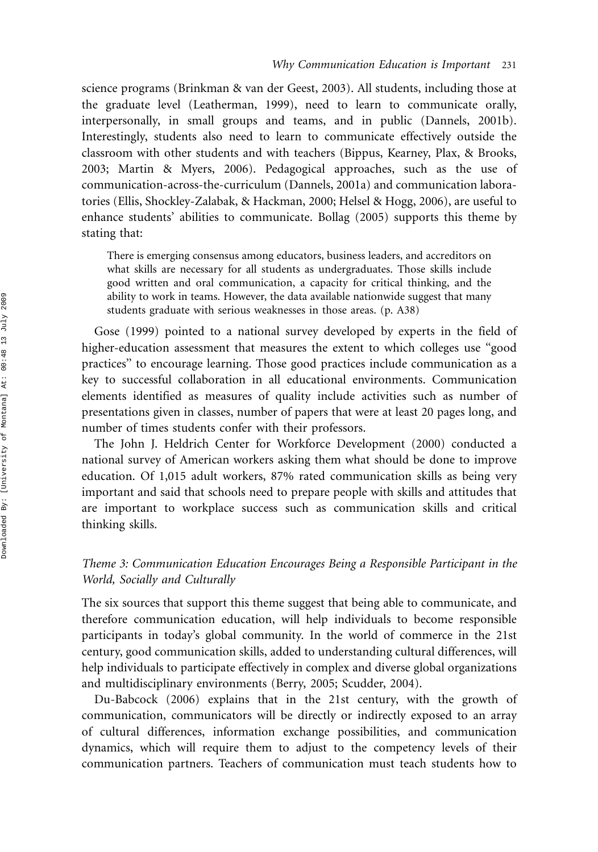science programs (Brinkman & van der Geest, 2003). All students, including those at the graduate level (Leatherman, 1999), need to learn to communicate orally, interpersonally, in small groups and teams, and in public (Dannels, 2001b). Interestingly, students also need to learn to communicate effectively outside the classroom with other students and with teachers (Bippus, Kearney, Plax, & Brooks, 2003; Martin & Myers, 2006). Pedagogical approaches, such as the use of communication-across-the-curriculum (Dannels, 2001a) and communication laboratories (Ellis, Shockley-Zalabak, & Hackman, 2000; Helsel & Hogg, 2006), are useful to enhance students' abilities to communicate. Bollag (2005) supports this theme by stating that:

There is emerging consensus among educators, business leaders, and accreditors on what skills are necessary for all students as undergraduates. Those skills include good written and oral communication, a capacity for critical thinking, and the ability to work in teams. However, the data available nationwide suggest that many students graduate with serious weaknesses in those areas. (p. A38)

Gose (1999) pointed to a national survey developed by experts in the field of higher-education assessment that measures the extent to which colleges use ''good practices'' to encourage learning. Those good practices include communication as a key to successful collaboration in all educational environments. Communication elements identified as measures of quality include activities such as number of presentations given in classes, number of papers that were at least 20 pages long, and number of times students confer with their professors.

The John J. Heldrich Center for Workforce Development (2000) conducted a national survey of American workers asking them what should be done to improve education. Of 1,015 adult workers, 87% rated communication skills as being very important and said that schools need to prepare people with skills and attitudes that are important to workplace success such as communication skills and critical thinking skills.

# Theme 3: Communication Education Encourages Being a Responsible Participant in the World, Socially and Culturally

The six sources that support this theme suggest that being able to communicate, and therefore communication education, will help individuals to become responsible participants in today's global community. In the world of commerce in the 21st century, good communication skills, added to understanding cultural differences, will help individuals to participate effectively in complex and diverse global organizations and multidisciplinary environments (Berry, 2005; Scudder, 2004).

Du-Babcock (2006) explains that in the 21st century, with the growth of communication, communicators will be directly or indirectly exposed to an array of cultural differences, information exchange possibilities, and communication dynamics, which will require them to adjust to the competency levels of their communication partners. Teachers of communication must teach students how to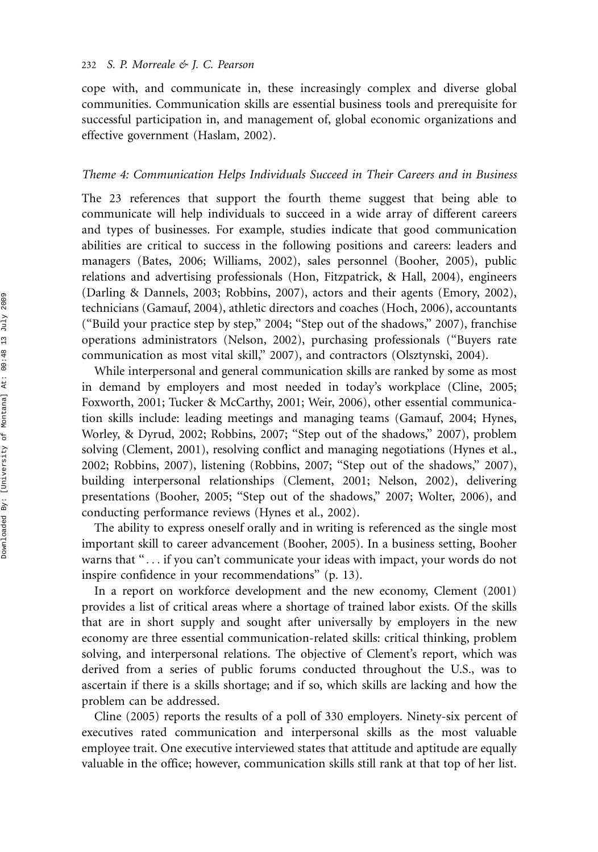cope with, and communicate in, these increasingly complex and diverse global communities. Communication skills are essential business tools and prerequisite for successful participation in, and management of, global economic organizations and effective government (Haslam, 2002).

#### Theme 4: Communication Helps Individuals Succeed in Their Careers and in Business

The 23 references that support the fourth theme suggest that being able to communicate will help individuals to succeed in a wide array of different careers and types of businesses. For example, studies indicate that good communication abilities are critical to success in the following positions and careers: leaders and managers (Bates, 2006; Williams, 2002), sales personnel (Booher, 2005), public relations and advertising professionals (Hon, Fitzpatrick, & Hall, 2004), engineers (Darling & Dannels, 2003; Robbins, 2007), actors and their agents (Emory, 2002), technicians (Gamauf, 2004), athletic directors and coaches (Hoch, 2006), accountants (''Build your practice step by step,'' 2004; ''Step out of the shadows,'' 2007), franchise operations administrators (Nelson, 2002), purchasing professionals (''Buyers rate communication as most vital skill,'' 2007), and contractors (Olsztynski, 2004).

While interpersonal and general communication skills are ranked by some as most in demand by employers and most needed in today's workplace (Cline, 2005; Foxworth, 2001; Tucker & McCarthy, 2001; Weir, 2006), other essential communication skills include: leading meetings and managing teams (Gamauf, 2004; Hynes, Worley, & Dyrud, 2002; Robbins, 2007; ''Step out of the shadows,'' 2007), problem solving (Clement, 2001), resolving conflict and managing negotiations (Hynes et al., 2002; Robbins, 2007), listening (Robbins, 2007; ''Step out of the shadows,'' 2007), building interpersonal relationships (Clement, 2001; Nelson, 2002), delivering presentations (Booher, 2005; ''Step out of the shadows,'' 2007; Wolter, 2006), and conducting performance reviews (Hynes et al., 2002).

The ability to express oneself orally and in writing is referenced as the single most important skill to career advancement (Booher, 2005). In a business setting, Booher warns that ''... if you can't communicate your ideas with impact, your words do not inspire confidence in your recommendations'' (p. 13).

In a report on workforce development and the new economy, Clement (2001) provides a list of critical areas where a shortage of trained labor exists. Of the skills that are in short supply and sought after universally by employers in the new economy are three essential communication-related skills: critical thinking, problem solving, and interpersonal relations. The objective of Clement's report, which was derived from a series of public forums conducted throughout the U.S., was to ascertain if there is a skills shortage; and if so, which skills are lacking and how the problem can be addressed.

Cline (2005) reports the results of a poll of 330 employers. Ninety-six percent of executives rated communication and interpersonal skills as the most valuable employee trait. One executive interviewed states that attitude and aptitude are equally valuable in the office; however, communication skills still rank at that top of her list.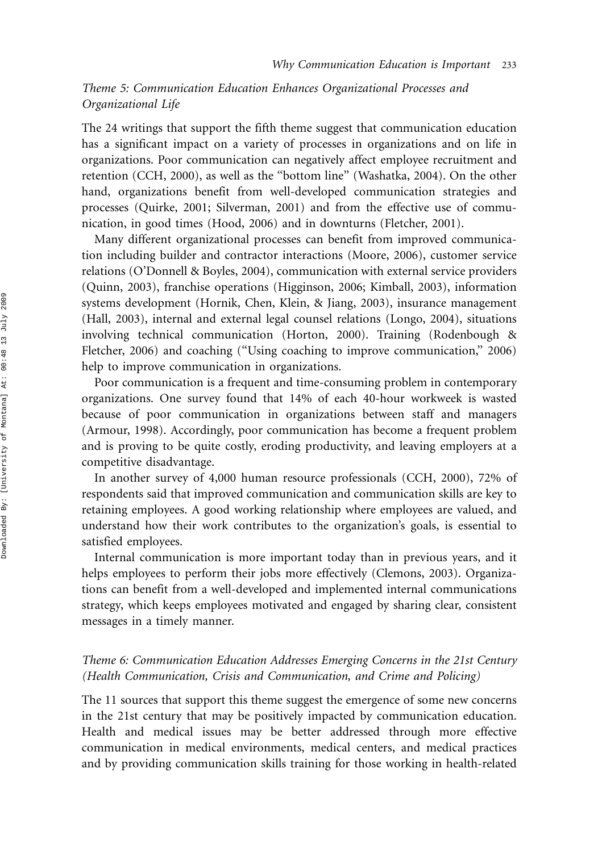# Theme 5: Communication Education Enhances Organizational Processes and Organizational Life

The 24 writings that support the fifth theme suggest that communication education has a significant impact on a variety of processes in organizations and on life in organizations. Poor communication can negatively affect employee recruitment and retention (CCH, 2000), as well as the ''bottom line'' (Washatka, 2004). On the other hand, organizations benefit from well-developed communication strategies and processes (Quirke, 2001; Silverman, 2001) and from the effective use of communication, in good times (Hood, 2006) and in downturns (Fletcher, 2001).

Many different organizational processes can benefit from improved communication including builder and contractor interactions (Moore, 2006), customer service relations (O'Donnell & Boyles, 2004), communication with external service providers (Quinn, 2003), franchise operations (Higginson, 2006; Kimball, 2003), information systems development (Hornik, Chen, Klein, & Jiang, 2003), insurance management (Hall, 2003), internal and external legal counsel relations (Longo, 2004), situations involving technical communication (Horton, 2000). Training (Rodenbough & Fletcher, 2006) and coaching ("Using coaching to improve communication," 2006) help to improve communication in organizations.

Poor communication is a frequent and time-consuming problem in contemporary organizations. One survey found that 14% of each 40-hour workweek is wasted because of poor communication in organizations between staff and managers (Armour, 1998). Accordingly, poor communication has become a frequent problem and is proving to be quite costly, eroding productivity, and leaving employers at a competitive disadvantage.

In another survey of 4,000 human resource professionals (CCH, 2000), 72% of respondents said that improved communication and communication skills are key to retaining employees. A good working relationship where employees are valued, and understand how their work contributes to the organization's goals, is essential to satisfied employees.

Internal communication is more important today than in previous years, and it helps employees to perform their jobs more effectively (Clemons, 2003). Organizations can benefit from a well-developed and implemented internal communications strategy, which keeps employees motivated and engaged by sharing clear, consistent messages in a timely manner.

# Theme 6: Communication Education Addresses Emerging Concerns in the 21st Century (Health Communication, Crisis and Communication, and Crime and Policing)

The 11 sources that support this theme suggest the emergence of some new concerns in the 21st century that may be positively impacted by communication education. Health and medical issues may be better addressed through more effective communication in medical environments, medical centers, and medical practices and by providing communication skills training for those working in health-related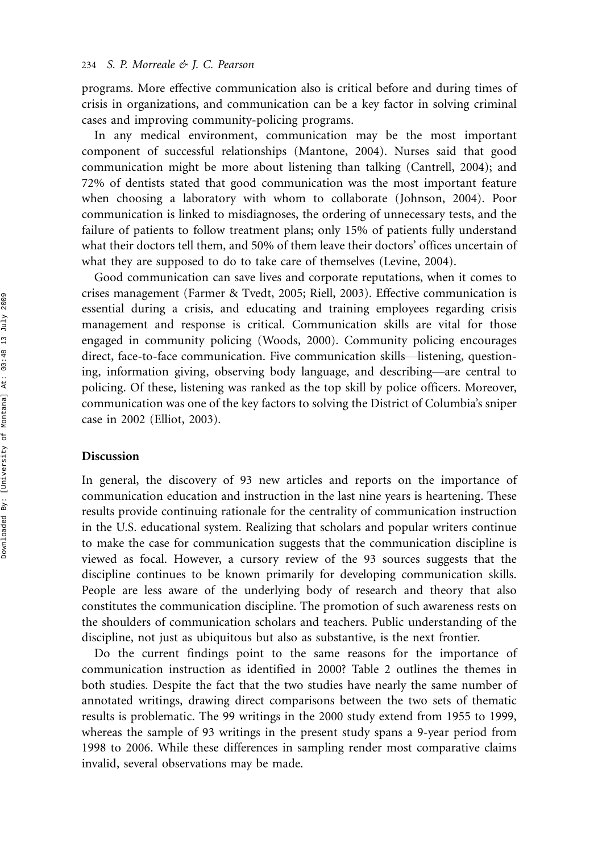programs. More effective communication also is critical before and during times of crisis in organizations, and communication can be a key factor in solving criminal cases and improving community-policing programs.

In any medical environment, communication may be the most important component of successful relationships (Mantone, 2004). Nurses said that good communication might be more about listening than talking (Cantrell, 2004); and 72% of dentists stated that good communication was the most important feature when choosing a laboratory with whom to collaborate (Johnson, 2004). Poor communication is linked to misdiagnoses, the ordering of unnecessary tests, and the failure of patients to follow treatment plans; only 15% of patients fully understand what their doctors tell them, and 50% of them leave their doctors' offices uncertain of what they are supposed to do to take care of themselves (Levine, 2004).

Good communication can save lives and corporate reputations, when it comes to crises management (Farmer & Tvedt, 2005; Riell, 2003). Effective communication is essential during a crisis, and educating and training employees regarding crisis management and response is critical. Communication skills are vital for those engaged in community policing (Woods, 2000). Community policing encourages direct, face-to-face communication. Five communication skills—listening, questioning, information giving, observing body language, and describing-are central to policing. Of these, listening was ranked as the top skill by police officers. Moreover, communication was one of the key factors to solving the District of Columbia's sniper case in 2002 (Elliot, 2003).

#### Discussion

In general, the discovery of 93 new articles and reports on the importance of communication education and instruction in the last nine years is heartening. These results provide continuing rationale for the centrality of communication instruction in the U.S. educational system. Realizing that scholars and popular writers continue to make the case for communication suggests that the communication discipline is viewed as focal. However, a cursory review of the 93 sources suggests that the discipline continues to be known primarily for developing communication skills. People are less aware of the underlying body of research and theory that also constitutes the communication discipline. The promotion of such awareness rests on the shoulders of communication scholars and teachers. Public understanding of the discipline, not just as ubiquitous but also as substantive, is the next frontier.

Do the current findings point to the same reasons for the importance of communication instruction as identified in 2000? Table 2 outlines the themes in both studies. Despite the fact that the two studies have nearly the same number of annotated writings, drawing direct comparisons between the two sets of thematic results is problematic. The 99 writings in the 2000 study extend from 1955 to 1999, whereas the sample of 93 writings in the present study spans a 9-year period from 1998 to 2006. While these differences in sampling render most comparative claims invalid, several observations may be made.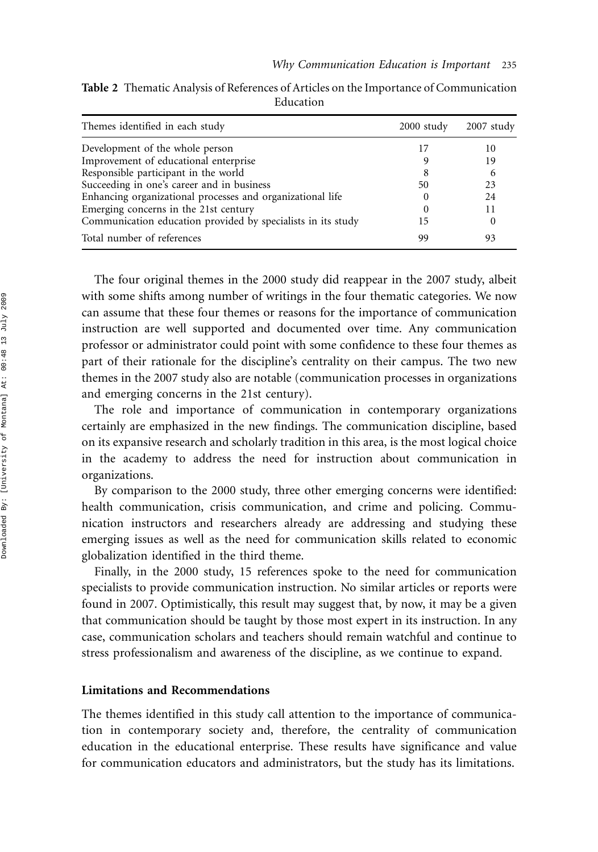| Themes identified in each study                              | $2000$ study | 2007 study |
|--------------------------------------------------------------|--------------|------------|
| Development of the whole person                              |              | 10         |
| Improvement of educational enterprise                        |              | 19         |
| Responsible participant in the world                         |              | 6          |
| Succeeding in one's career and in business                   | 50           | 23         |
| Enhancing organizational processes and organizational life   |              | 24         |
| Emerging concerns in the 21st century                        |              | 11         |
| Communication education provided by specialists in its study | 15           |            |
| Total number of references                                   | 99           | 93         |

Table 2 Thematic Analysis of References of Articles on the Importance of Communication Education

The four original themes in the 2000 study did reappear in the 2007 study, albeit with some shifts among number of writings in the four thematic categories. We now can assume that these four themes or reasons for the importance of communication instruction are well supported and documented over time. Any communication professor or administrator could point with some confidence to these four themes as part of their rationale for the discipline's centrality on their campus. The two new themes in the 2007 study also are notable (communication processes in organizations and emerging concerns in the 21st century).

The role and importance of communication in contemporary organizations certainly are emphasized in the new findings. The communication discipline, based on its expansive research and scholarly tradition in this area, is the most logical choice in the academy to address the need for instruction about communication in organizations.

By comparison to the 2000 study, three other emerging concerns were identified: health communication, crisis communication, and crime and policing. Communication instructors and researchers already are addressing and studying these emerging issues as well as the need for communication skills related to economic globalization identified in the third theme.

Finally, in the 2000 study, 15 references spoke to the need for communication specialists to provide communication instruction. No similar articles or reports were found in 2007. Optimistically, this result may suggest that, by now, it may be a given that communication should be taught by those most expert in its instruction. In any case, communication scholars and teachers should remain watchful and continue to stress professionalism and awareness of the discipline, as we continue to expand.

# Limitations and Recommendations

The themes identified in this study call attention to the importance of communication in contemporary society and, therefore, the centrality of communication education in the educational enterprise. These results have significance and value for communication educators and administrators, but the study has its limitations.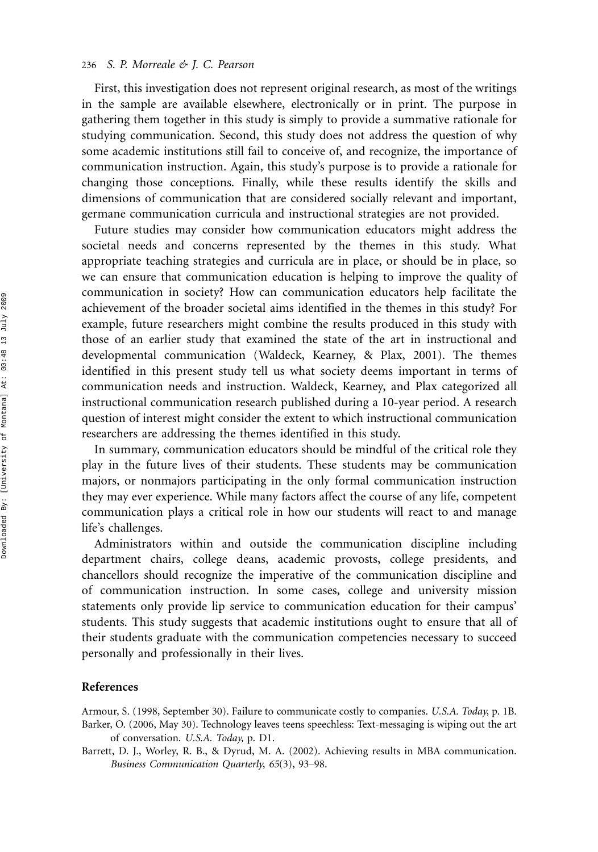First, this investigation does not represent original research, as most of the writings in the sample are available elsewhere, electronically or in print. The purpose in gathering them together in this study is simply to provide a summative rationale for studying communication. Second, this study does not address the question of why some academic institutions still fail to conceive of, and recognize, the importance of communication instruction. Again, this study's purpose is to provide a rationale for changing those conceptions. Finally, while these results identify the skills and dimensions of communication that are considered socially relevant and important, germane communication curricula and instructional strategies are not provided.

Future studies may consider how communication educators might address the societal needs and concerns represented by the themes in this study. What appropriate teaching strategies and curricula are in place, or should be in place, so we can ensure that communication education is helping to improve the quality of communication in society? How can communication educators help facilitate the achievement of the broader societal aims identified in the themes in this study? For example, future researchers might combine the results produced in this study with those of an earlier study that examined the state of the art in instructional and developmental communication (Waldeck, Kearney, & Plax, 2001). The themes identified in this present study tell us what society deems important in terms of communication needs and instruction. Waldeck, Kearney, and Plax categorized all instructional communication research published during a 10-year period. A research question of interest might consider the extent to which instructional communication researchers are addressing the themes identified in this study.

In summary, communication educators should be mindful of the critical role they play in the future lives of their students. These students may be communication majors, or nonmajors participating in the only formal communication instruction they may ever experience. While many factors affect the course of any life, competent communication plays a critical role in how our students will react to and manage life's challenges.

Administrators within and outside the communication discipline including department chairs, college deans, academic provosts, college presidents, and chancellors should recognize the imperative of the communication discipline and of communication instruction. In some cases, college and university mission statements only provide lip service to communication education for their campus' students. This study suggests that academic institutions ought to ensure that all of their students graduate with the communication competencies necessary to succeed personally and professionally in their lives.

#### References

Armour, S. (1998, September 30). Failure to communicate costly to companies. U.S.A. Today, p. 1B. Barker, O. (2006, May 30). Technology leaves teens speechless: Text-messaging is wiping out the art of conversation. U.S.A. Today, p. D1.

Barrett, D. J., Worley, R. B., & Dyrud, M. A. (2002). Achieving results in MBA communication. Business Communication Quarterly, 65(3), 93-98.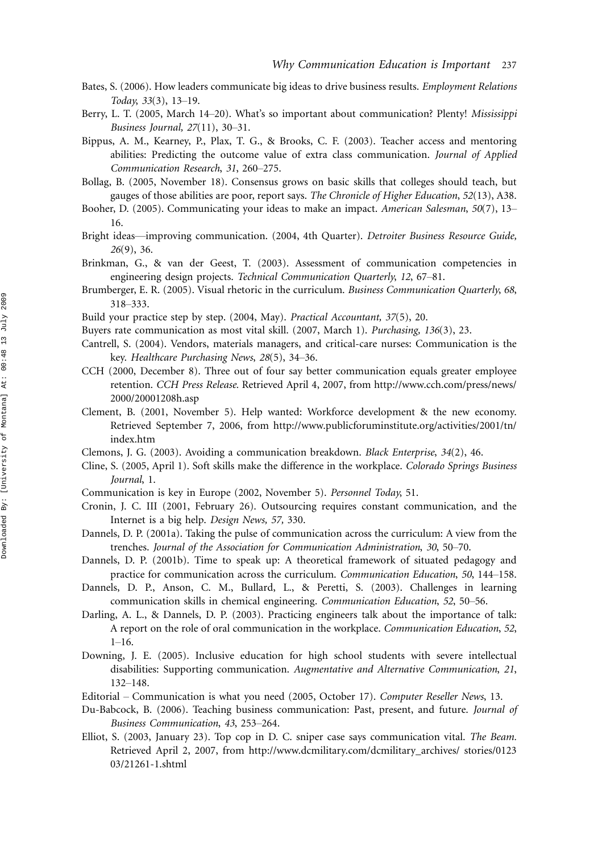- Bates, S. (2006). How leaders communicate big ideas to drive business results. Employment Relations Today,  $33(3)$ ,  $13-19$ .
- Berry, L. T. (2005, March 14-20). What's so important about communication? Plenty! Mississippi Business Journal,  $27(11)$ ,  $30-31$ .
- Bippus, A. M., Kearney, P., Plax, T. G., & Brooks, C. F. (2003). Teacher access and mentoring abilities: Predicting the outcome value of extra class communication. Journal of Applied Communication Research, 31, 260-275.
- Bollag, B. (2005, November 18). Consensus grows on basic skills that colleges should teach, but gauges of those abilities are poor, report says. The Chronicle of Higher Education, 52(13), A38.
- Booher, D. (2005). Communicating your ideas to make an impact. American Salesman, 50(7), 13 16.
- Bright ideas—improving communication. (2004, 4th Quarter). Detroiter Business Resource Guide, 26(9), 36.
- Brinkman, G., & van der Geest, T. (2003). Assessment of communication competencies in engineering design projects. Technical Communication Quarterly, 12, 67-81.
- Brumberger, E. R. (2005). Visual rhetoric in the curriculum. Business Communication Quarterly, 68, 318-333.
- Build your practice step by step. (2004, May). Practical Accountant, 37(5), 20.
- Buyers rate communication as most vital skill. (2007, March 1). Purchasing, 136(3), 23.
- Cantrell, S. (2004). Vendors, materials managers, and critical-care nurses: Communication is the key. Healthcare Purchasing News, 28(5), 34-36.
- CCH (2000, December 8). Three out of four say better communication equals greater employee retention. CCH Press Release. Retrieved April 4, 2007, from http://www.cch.com/press/news/ 2000/20001208h.asp
- Clement, B. (2001, November 5). Help wanted: Workforce development & the new economy. Retrieved September 7, 2006, from http://www.publicforuminstitute.org/activities/2001/tn/ index.htm
- Clemons, J. G. (2003). Avoiding a communication breakdown. Black Enterprise, 34(2), 46.
- Cline, S. (2005, April 1). Soft skills make the difference in the workplace. Colorado Springs Business Journal, 1.
- Communication is key in Europe (2002, November 5). Personnel Today, 51.
- Cronin, J. C. III (2001, February 26). Outsourcing requires constant communication, and the Internet is a big help. Design News, 57, 330.
- Dannels, D. P. (2001a). Taking the pulse of communication across the curriculum: A view from the trenches. Journal of the Association for Communication Administration, 30, 50-70.
- Dannels, D. P. (2001b). Time to speak up: A theoretical framework of situated pedagogy and practice for communication across the curriculum. Communication Education, 50, 144–158.
- Dannels, D. P., Anson, C. M., Bullard, L., & Peretti, S. (2003). Challenges in learning communication skills in chemical engineering. Communication Education, 52, 50–56.
- Darling, A. L., & Dannels, D. P. (2003). Practicing engineers talk about the importance of talk: A report on the role of oral communication in the workplace. Communication Education, 52,  $1 - 16$ .
- Downing, J. E. (2005). Inclusive education for high school students with severe intellectual disabilities: Supporting communication. Augmentative and Alternative Communication, 21,  $132 - 148.$
- Editorial Communication is what you need (2005, October 17). Computer Reseller News, 13.
- Du-Babcock, B. (2006). Teaching business communication: Past, present, and future. Journal of Business Communication, 43, 253-264.
- Elliot, S. (2003, January 23). Top cop in D. C. sniper case says communication vital. The Beam. Retrieved April 2, 2007, from http://www.dcmilitary.com/dcmilitary\_archives/ stories/0123 03/21261-1.shtml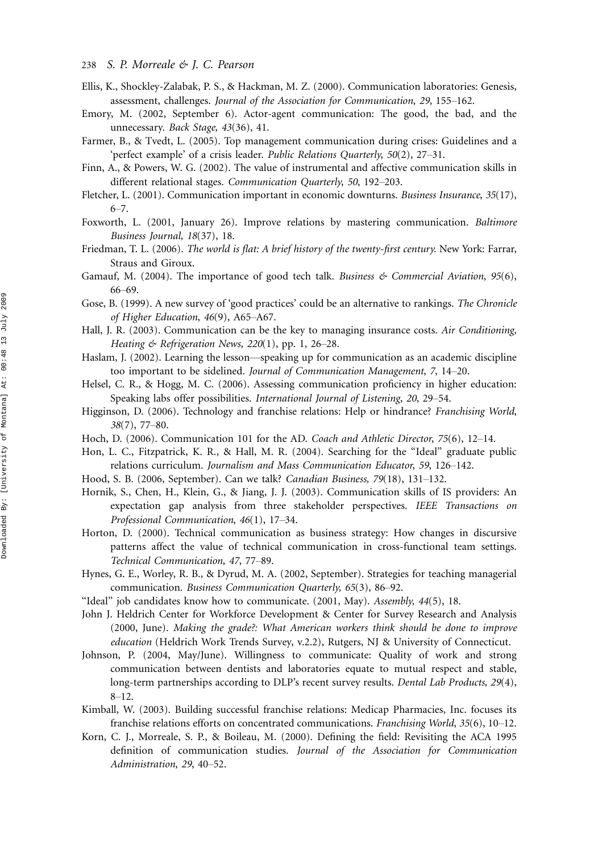- 238 S. P. Morreale & J. C. Pearson
- Ellis, K., Shockley-Zalabak, P. S., & Hackman, M. Z. (2000). Communication laboratories: Genesis, assessment, challenges. Journal of the Association for Communication, 29, 155-162.
- Emory, M. (2002, September 6). Actor-agent communication: The good, the bad, and the unnecessary. Back Stage, 43(36), 41.
- Farmer, B., & Tvedt, L. (2005). Top management communication during crises: Guidelines and a 'perfect example' of a crisis leader. Public Relations Quarterly, 50(2), 27–31.
- Finn, A., & Powers, W. G. (2002). The value of instrumental and affective communication skills in different relational stages. Communication Quarterly, 50, 192-203.
- Fletcher, L. (2001). Communication important in economic downturns. Business Insurance, 35(17),  $6 - 7.$
- Foxworth, L. (2001, January 26). Improve relations by mastering communication. Baltimore Business Journal, 18(37), 18.
- Friedman, T. L. (2006). The world is flat: A brief history of the twenty-first century. New York: Farrar, Straus and Giroux.
- Gamauf, M. (2004). The importance of good tech talk. Business  $\&$  Commercial Aviation, 95(6), 66-69.
- Gose, B. (1999). A new survey of 'good practices' could be an alternative to rankings. The Chronicle of Higher Education, 46(9), A65-A67.
- Hall, J. R. (2003). Communication can be the key to managing insurance costs. Air Conditioning, Heating & Refrigeration News,  $220(1)$ , pp. 1, 26–28.
- Haslam, J. (2002). Learning the lesson—speaking up for communication as an academic discipline too important to be sidelined. Journal of Communication Management, 7, 14–20.
- Helsel, C. R., & Hogg, M. C. (2006). Assessing communication proficiency in higher education: Speaking labs offer possibilities. International Journal of Listening, 20, 29–54.
- Higginson, D. (2006). Technology and franchise relations: Help or hindrance? Franchising World,  $38(7)$ , 77-80.
- Hoch, D. (2006). Communication 101 for the AD. Coach and Athletic Director, 75(6), 12–14.
- Hon, L. C., Fitzpatrick, K. R., & Hall, M. R. (2004). Searching for the ''Ideal'' graduate public relations curriculum. Journalism and Mass Communication Educator, 59, 126–142.
- Hood, S. B. (2006, September). Can we talk? Canadian Business, 79(18), 131-132.
- Hornik, S., Chen, H., Klein, G., & Jiang, J. J. (2003). Communication skills of IS providers: An expectation gap analysis from three stakeholder perspectives. IEEE Transactions on Professional Communication,  $46(1)$ , 17-34.
- Horton, D. (2000). Technical communication as business strategy: How changes in discursive patterns affect the value of technical communication in cross-functional team settings. Technical Communication, 47, 77-89.
- Hynes, G. E., Worley, R. B., & Dyrud, M. A. (2002, September). Strategies for teaching managerial communication. Business Communication Quarterly, 65(3), 86–92.
- "Ideal" job candidates know how to communicate. (2001, May). Assembly, 44(5), 18.
- John J. Heldrich Center for Workforce Development & Center for Survey Research and Analysis (2000, June). Making the grade?: What American workers think should be done to improve education (Heldrich Work Trends Survey, v.2.2), Rutgers, NJ & University of Connecticut.
- Johnson, P. (2004, May/June). Willingness to communicate: Quality of work and strong communication between dentists and laboratories equate to mutual respect and stable, long-term partnerships according to DLP's recent survey results. Dental Lab Products, 29(4),  $8 - 12.$
- Kimball, W. (2003). Building successful franchise relations: Medicap Pharmacies, Inc. focuses its franchise relations efforts on concentrated communications. Franchising World,  $35(6)$ ,  $10-12$ .
- Korn, C. J., Morreale, S. P., & Boileau, M. (2000). Defining the field: Revisiting the ACA 1995 definition of communication studies. Journal of the Association for Communication Administration, 29, 40-52.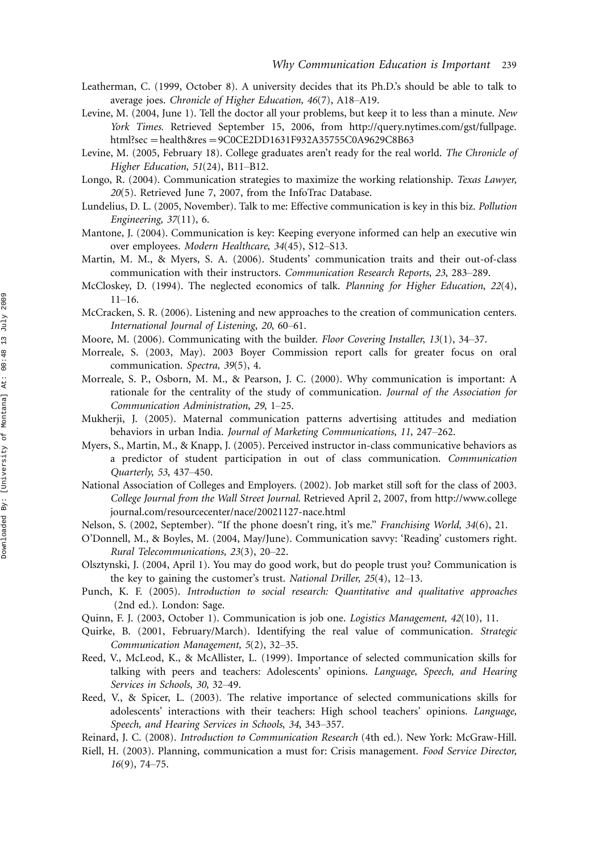- Leatherman, C. (1999, October 8). A university decides that its Ph.D.'s should be able to talk to average joes. Chronicle of Higher Education, 46(7), A18-A19.
- Levine, M. (2004, June 1). Tell the doctor all your problems, but keep it to less than a minute. New York Times. Retrieved September 15, 2006, from http://query.nytimes.com/gst/fullpage. html?sec-health&res-9C0CE2DD1631F932A35755C0A9629C8B63
- Levine, M. (2005, February 18). College graduates aren't ready for the real world. The Chronicle of Higher Education,  $51(24)$ , B11-B12.
- Longo, R. (2004). Communication strategies to maximize the working relationship. Texas Lawyer, 20(5). Retrieved June 7, 2007, from the InfoTrac Database.
- Lundelius, D. L. (2005, November). Talk to me: Effective communication is key in this biz. Pollution Engineering, 37(11), 6.
- Mantone, J. (2004). Communication is key: Keeping everyone informed can help an executive win over employees. Modern Healthcare, 34(45), S12-S13.
- Martin, M. M., & Myers, S. A. (2006). Students' communication traits and their out-of-class communication with their instructors. Communication Research Reports, 23, 283-289.
- McCloskey, D. (1994). The neglected economics of talk. Planning for Higher Education, 22(4),  $11 - 16$ .
- McCracken, S. R. (2006). Listening and new approaches to the creation of communication centers. International Journal of Listening, 20, 60-61.
- Moore, M. (2006). Communicating with the builder. Floor Covering Installer, 13(1), 34–37.
- Morreale, S. (2003, May). 2003 Boyer Commission report calls for greater focus on oral communication. Spectra, 39(5), 4.
- Morreale, S. P., Osborn, M. M., & Pearson, J. C. (2000). Why communication is important: A rationale for the centrality of the study of communication. Journal of the Association for Communication Administration, 29, 1-25.
- Mukherji, J. (2005). Maternal communication patterns advertising attitudes and mediation behaviors in urban India. Journal of Marketing Communications, 11, 247-262.
- Myers, S., Martin, M., & Knapp, J. (2005). Perceived instructor in-class communicative behaviors as a predictor of student participation in out of class communication. Communication Quarterly, 53, 437-450.
- National Association of Colleges and Employers. (2002). Job market still soft for the class of 2003. College Journal from the Wall Street Journal. Retrieved April 2, 2007, from http://www.college journal.com/resourcecenter/nace/20021127-nace.html
- Nelson, S. (2002, September). ''If the phone doesn't ring, it's me.'' Franchising World, 34(6), 21.
- O'Donnell, M., & Boyles, M. (2004, May/June). Communication savvy: 'Reading' customers right. Rural Telecommunications, 23(3), 20-22.
- Olsztynski, J. (2004, April 1). You may do good work, but do people trust you? Communication is the key to gaining the customer's trust. National Driller,  $25(4)$ ,  $12-13$ .
- Punch, K. F. (2005). Introduction to social research: Quantitative and qualitative approaches (2nd ed.). London: Sage.
- Quinn, F. J. (2003, October 1). Communication is job one. Logistics Management, 42(10), 11.
- Quirke, B. (2001, February/March). Identifying the real value of communication. Strategic Communication Management,  $5(2)$ ,  $32-35$ .
- Reed, V., McLeod, K., & McAllister, L. (1999). Importance of selected communication skills for talking with peers and teachers: Adolescents' opinions. Language, Speech, and Hearing Services in Schools, 30, 32-49.
- Reed, V., & Spicer, L. (2003). The relative importance of selected communications skills for adolescents' interactions with their teachers: High school teachers' opinions. Language, Speech, and Hearing Services in Schools, 34, 343-357.
- Reinard, J. C. (2008). Introduction to Communication Research (4th ed.). New York: McGraw-Hill.
- Riell, H. (2003). Planning, communication a must for: Crisis management. Food Service Director,  $16(9)$ , 74-75.